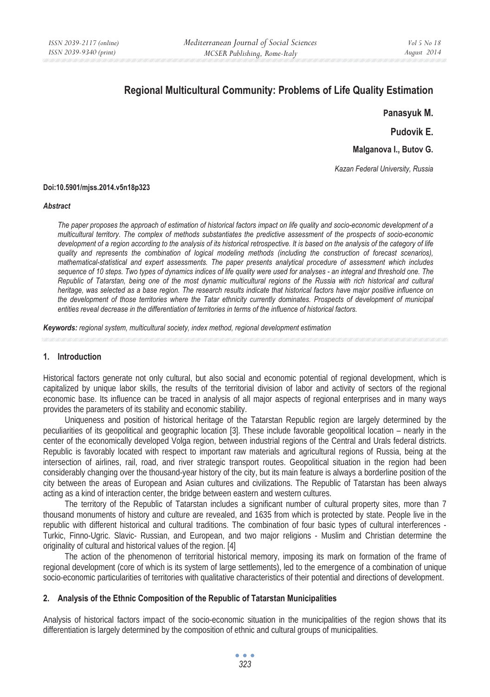# **Regional Multicultural Community: Problems of Life Quality Estimation**

**Panasyuk M.** 

**Pudovik E.** 

**Malganova I., Butov G.**

*Kazan Federal University, Russia* 

#### **Doi:10.5901/mjss.2014.v5n18p323**

#### *Abstract*

*The paper proposes the approach of estimation of historical factors impact on life quality and socio-economic development of a multicultural territory. The complex of methods substantiates the predictive assessment of the prospects of socio-economic*  development of a region according to the analysis of its historical retrospective. It is based on the analysis of the category of life *quality and represents the combination of logical modeling methods (including the construction of forecast scenarios), mathematical-statistical and expert assessments. The paper presents analytical procedure of assessment which includes sequence of 10 steps. Two types of dynamics indices of life quality were used for analyses - an integral and threshold one. The Republic of Tatarstan, being one of the most dynamic multicultural regions of the Russia with rich historical and cultural heritage, was selected as a base region. The research results indicate that historical factors have major positive influence on the development of those territories where the Tatar ethnicity currently dominates. Prospects of development of municipal entities reveal decrease in the differentiation of territories in terms of the influence of historical factors.* 

*Keywords: regional system, multicultural society, index method, regional development estimation*

### **1. Introduction**

Historical factors generate not only cultural, but also social and economic potential of regional development, which is capitalized by unique labor skills, the results of the territorial division of labor and activity of sectors of the regional economic base. Its influence can be traced in analysis of all major aspects of regional enterprises and in many ways provides the parameters of its stability and economic stability.

Uniqueness and position of historical heritage of the Tatarstan Republic region are largely determined by the peculiarities of its geopolitical and geographic location [3]. These include favorable geopolitical location – nearly in the center of the economically developed Volga region, between industrial regions of the Central and Urals federal districts. Republic is favorably located with respect to important raw materials and agricultural regions of Russia, being at the intersection of airlines, rail, road, and river strategic transport routes. Geopolitical situation in the region had been considerably changing over the thousand-year history of the city, but its main feature is always a borderline position of the city between the areas of European and Asian cultures and civilizations. The Republic of Tatarstan has been always acting as a kind of interaction center, the bridge between eastern and western cultures.

The territory of the Republic of Tatarstan includes a significant number of cultural property sites, more than 7 thousand monuments of history and culture are revealed, and 1635 from which is protected by state. People live in the republic with different historical and cultural traditions. The combination of four basic types of cultural interferences - Turkic, Finno-Ugric. Slavic- Russian, and European, and two major religions - Muslim and Christian determine the originality of cultural and historical values of the region. [4]

The action of the phenomenon of territorial historical memory, imposing its mark on formation of the frame of regional development (core of which is its system of large settlements), led to the emergence of a combination of unique socio-economic particularities of territories with qualitative characteristics of their potential and directions of development.

#### **2. Analysis of the Ethnic Composition of the Republic of Tatarstan Municipalities**

Analysis of historical factors impact of the socio-economic situation in the municipalities of the region shows that its differentiation is largely determined by the composition of ethnic and cultural groups of municipalities.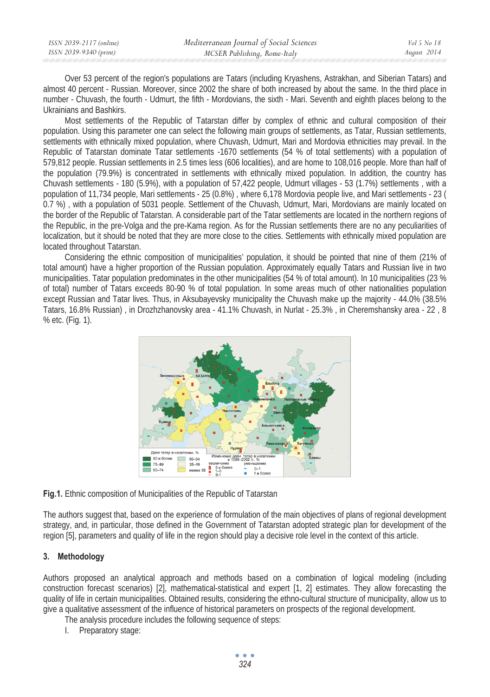| ISSN 2039-2117 (online) | Mediterranean Journal of Social Sciences | Vol 5 No 18 |
|-------------------------|------------------------------------------|-------------|
| ISSN 2039-9340 (print)  | MCSER Publishing, Rome-Italy             | August 2014 |

Over 53 percent of the region's populations are Tatars (including Kryashens, Astrakhan, and Siberian Tatars) and almost 40 percent - Russian. Moreover, since 2002 the share of both increased by about the same. In the third place in number - Chuvash, the fourth - Udmurt, the fifth - Mordovians, the sixth - Mari. Seventh and eighth places belong to the Ukrainians and Bashkirs.

Most settlements of the Republic of Tatarstan differ by complex of ethnic and cultural composition of their population. Using this parameter one can select the following main groups of settlements, as Tatar, Russian settlements, settlements with ethnically mixed population, where Chuvash, Udmurt, Mari and Mordovia ethnicities may prevail. In the Republic of Tatarstan dominate Tatar settlements -1670 settlements (54 % of total settlements) with a population of 579,812 people. Russian settlements in 2.5 times less (606 localities), and are home to 108,016 people. More than half of the population (79.9%) is concentrated in settlements with ethnically mixed population. In addition, the country has Chuvash settlements - 180 (5.9%), with a population of 57,422 people, Udmurt villages - 53 (1.7%) settlements , with a population of 11,734 people, Mari settlements - 25 (0.8%) , where 6,178 Mordovia people live, and Mari settlements - 23 ( 0.7 %) , with a population of 5031 people. Settlement of the Chuvash, Udmurt, Mari, Mordovians are mainly located on the border of the Republic of Tatarstan. A considerable part of the Tatar settlements are located in the northern regions of the Republic, in the pre-Volga and the pre-Kama region. As for the Russian settlements there are no any peculiarities of localization, but it should be noted that they are more close to the cities. Settlements with ethnically mixed population are located throughout Tatarstan.

Considering the ethnic composition of municipalities' population, it should be pointed that nine of them (21% of total amount) have a higher proportion of the Russian population. Approximately equally Tatars and Russian live in two municipalities. Tatar population predominates in the other municipalities (54 % of total amount). In 10 municipalities (23 % of total) number of Tatars exceeds 80-90 % of total population. In some areas much of other nationalities population except Russian and Tatar lives. Thus, in Aksubayevsky municipality the Chuvash make up the majority - 44.0% (38.5% Tatars, 16.8% Russian) , in Drozhzhanovsky area - 41.1% Chuvash, in Nurlat - 25.3% , in Cheremshansky area - 22 , 8 % etc. (Fig. 1).



**Fig.1.** Ethnic composition of Municipalities of the Republic of Tatarstan

The authors suggest that, based on the experience of formulation of the main objectives of plans of regional development strategy, and, in particular, those defined in the Government of Tatarstan adopted strategic plan for development of the region [5], parameters and quality of life in the region should play a decisive role level in the context of this article.

# **3. Methodology**

Authors proposed an analytical approach and methods based on a combination of logical modeling (including construction forecast scenarios) [2], mathematical-statistical and expert [1, 2] estimates. They allow forecasting the quality of life in certain municipalities. Obtained results, considering the ethno-cultural structure of municipality, allow us to give a qualitative assessment of the influence of historical parameters on prospects of the regional development.

The analysis procedure includes the following sequence of steps:

I. Preparatory stage: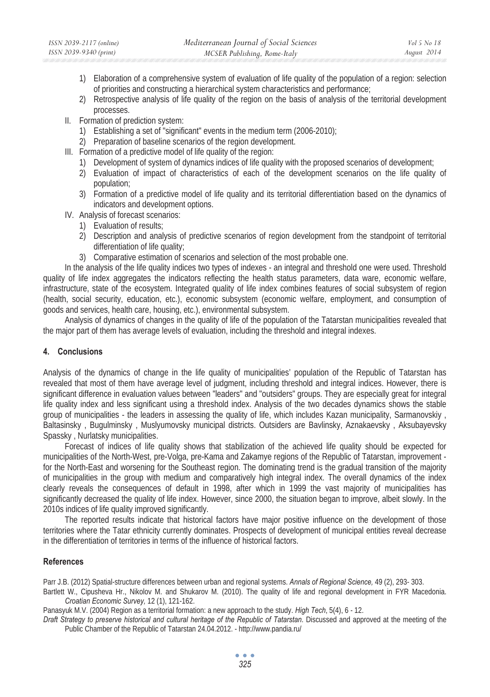- 1) Elaboration of a comprehensive system of evaluation of life quality of the population of a region: selection of priorities and constructing a hierarchical system characteristics and performance;
- 2) Retrospective analysis of life quality of the region on the basis of analysis of the territorial development processes.
- II. Formation of prediction system:
	- 1) Establishing a set of "significant" events in the medium term (2006-2010);
	- 2) Preparation of baseline scenarios of the region development.
- III. Formation of a predictive model of life quality of the region:
	- 1) Development of system of dynamics indices of life quality with the proposed scenarios of development;
	- 2) Evaluation of impact of characteristics of each of the development scenarios on the life quality of population;
	- 3) Formation of a predictive model of life quality and its territorial differentiation based on the dynamics of indicators and development options.
- IV. Analysis of forecast scenarios:
	- 1) Evaluation of results;
	- 2) Description and analysis of predictive scenarios of region development from the standpoint of territorial differentiation of life quality;
	- 3) Comparative estimation of scenarios and selection of the most probable one.

In the analysis of the life quality indices two types of indexes - an integral and threshold one were used. Threshold quality of life index aggregates the indicators reflecting the health status parameters, data ware, economic welfare, infrastructure, state of the ecosystem. Integrated quality of life index combines features of social subsystem of region (health, social security, education, etc.), economic subsystem (economic welfare, employment, and consumption of goods and services, health care, housing, etc.), environmental subsystem.

Analysis of dynamics of changes in the quality of life of the population of the Tatarstan municipalities revealed that the major part of them has average levels of evaluation, including the threshold and integral indexes.

# **4. Conclusions**

Analysis of the dynamics of change in the life quality of municipalities' population of the Republic of Tatarstan has revealed that most of them have average level of judgment, including threshold and integral indices. However, there is significant difference in evaluation values between "leaders" and "outsiders" groups. They are especially great for integral life quality index and less significant using a threshold index. Analysis of the two decades dynamics shows the stable group of municipalities - the leaders in assessing the quality of life, which includes Kazan municipality, Sarmanovskiy , Baltasinsky , Bugulminsky , Muslyumovsky municipal districts. Outsiders are Bavlinsky, Aznakaevsky , Aksubayevsky Spassky , Nurlatsky municipalities.

Forecast of indices of life quality shows that stabilization of the achieved life quality should be expected for municipalities of the North-West, pre-Volga, pre-Kama and Zakamye regions of the Republic of Tatarstan, improvement for the North-East and worsening for the Southeast region. The dominating trend is the gradual transition of the majority of municipalities in the group with medium and comparatively high integral index. The overall dynamics of the index clearly reveals the consequences of default in 1998, after which in 1999 the vast majority of municipalities has significantly decreased the quality of life index. However, since 2000, the situation began to improve, albeit slowly. In the 2010s indices of life quality improved significantly.

The reported results indicate that historical factors have major positive influence on the development of those territories where the Tatar ethnicity currently dominates. Prospects of development of municipal entities reveal decrease in the differentiation of territories in terms of the influence of historical factors.

# **References**

Parr J.B. (2012) Spatial-structure differences between urban and regional systems. *Annals of Regional Science,* 49 (2), 293- 303.

Bartlett W., Cipusheva Hr., Nikolov M. and Shukarov M. (2010). The quality of life and regional development in FYR Macedonia. *Croatian Economic Survey,* 12 (1), 121-162.

Panasyuk M.V. (2004) Region as a territorial formation: a new approach to the study. *High Tech*, 5(4), 6 - 12.

*Draft Strategy to preserve historical and cultural heritage of the Republic of Tatarstan*. Discussed and approved at the meeting of the Public Chamber of the Republic of Tatarstan 24.04.2012. - http://www.pandia.ru/